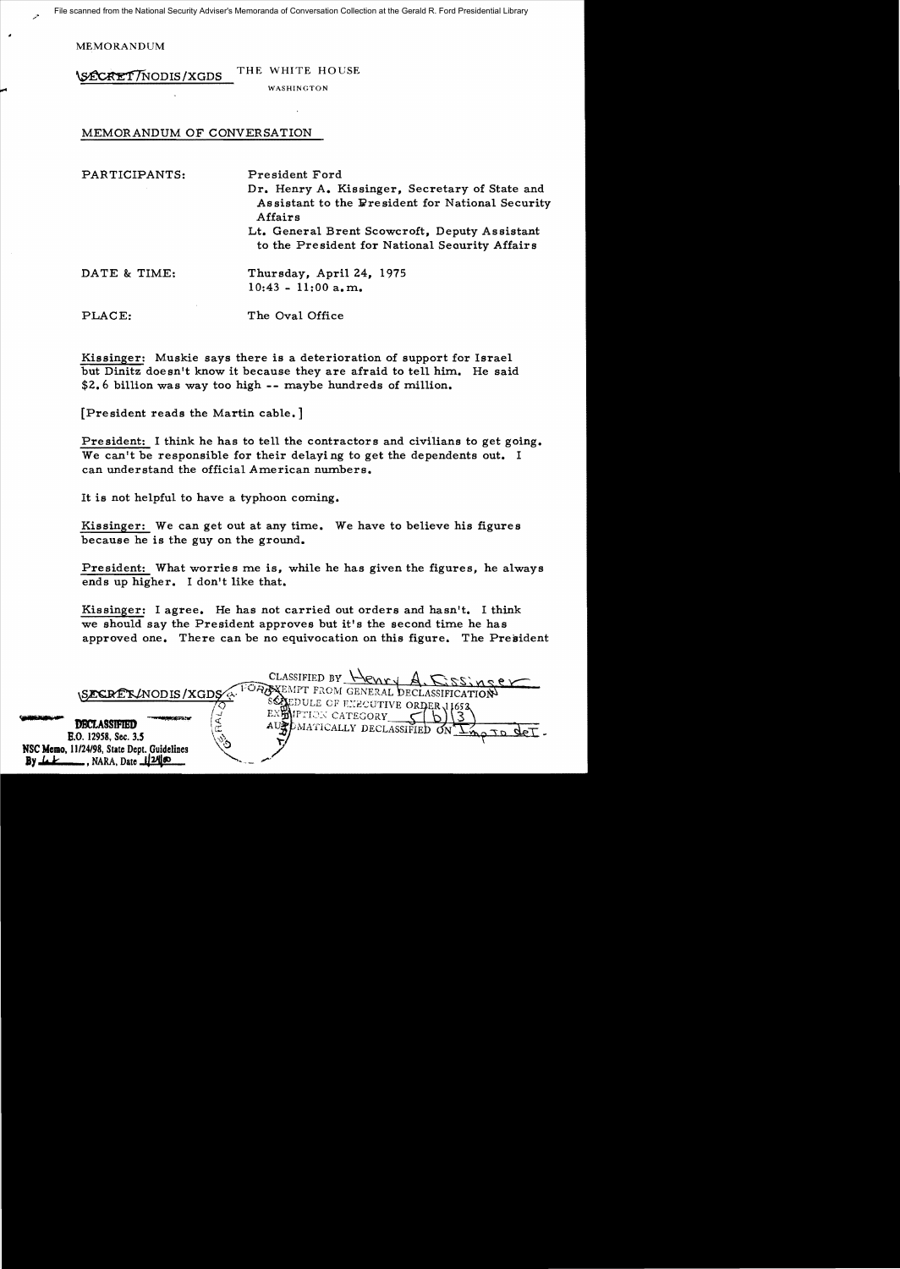MEMORANDUM

WE WHITE HOUSE

WASHINGTON

## MEMORANDUM OF CONVERSATION

| PARTICIPANTS: | President Ford<br>Dr. Henry A. Kissinger, Secretary of State and<br>Assistant to the President for National Security<br>Affairs |
|---------------|---------------------------------------------------------------------------------------------------------------------------------|
|               | Lt. General Brent Scowcroft, Deputy Assistant<br>to the President for National Security Affairs                                 |
| DATE & TIME:  | Thursday, April 24, 1975<br>$10:43 - 11:00$ a.m.                                                                                |
| PLACE:        | The Oval Office                                                                                                                 |

Kissinger: Muskie says there is a deterioration of support for Israel but Dinitz doesn't know it because they are afraid to tell him. He said \$2.6 billion was way too high -- maybe hundreds of million.

[President reads the Martin cable. ]

President: I think he has to tell the contractors and civilians to get going. We can't be responsible for their delaying to get the dependents out. I can understand the official American numbers.

It is not helpful to have a typhoon coming.

Kissinger: We can get out at any time. We have to believe his figures because he is the guy on the ground.

President: What worries me is, while he has given the figures, he always ends up higher. I don't like that.

Kissinger: I agree. He has not carried out orders and hasn't. I think we should say the President approves but it's the second time he has approved one. There can be no equivocation on this figure. The President

| SECRET/NODIS/XGDS                                                                                                                       | CLASSIFIED BY Henry A. DSSInser<br>FOREMPT FROM GENERAL DECLASSIFICATION                                              |
|-----------------------------------------------------------------------------------------------------------------------------------------|-----------------------------------------------------------------------------------------------------------------------|
| <b>DECLASSIFIED</b><br>E.O. 12958, Sec. 3.5<br>NSC Memo, 11/24/98, State Dept. Guidelines<br>$\Box$ , NARA, Date $\Box$ 24 00<br>By LLE | SCALEDULE OF EXECUTIVE ORDER 11652<br>EXEMPTION CATEGORY<br>AUPDMATICALLY DECLASSIFIED ON $\sum_{n=1}^{\infty}$<br>r. |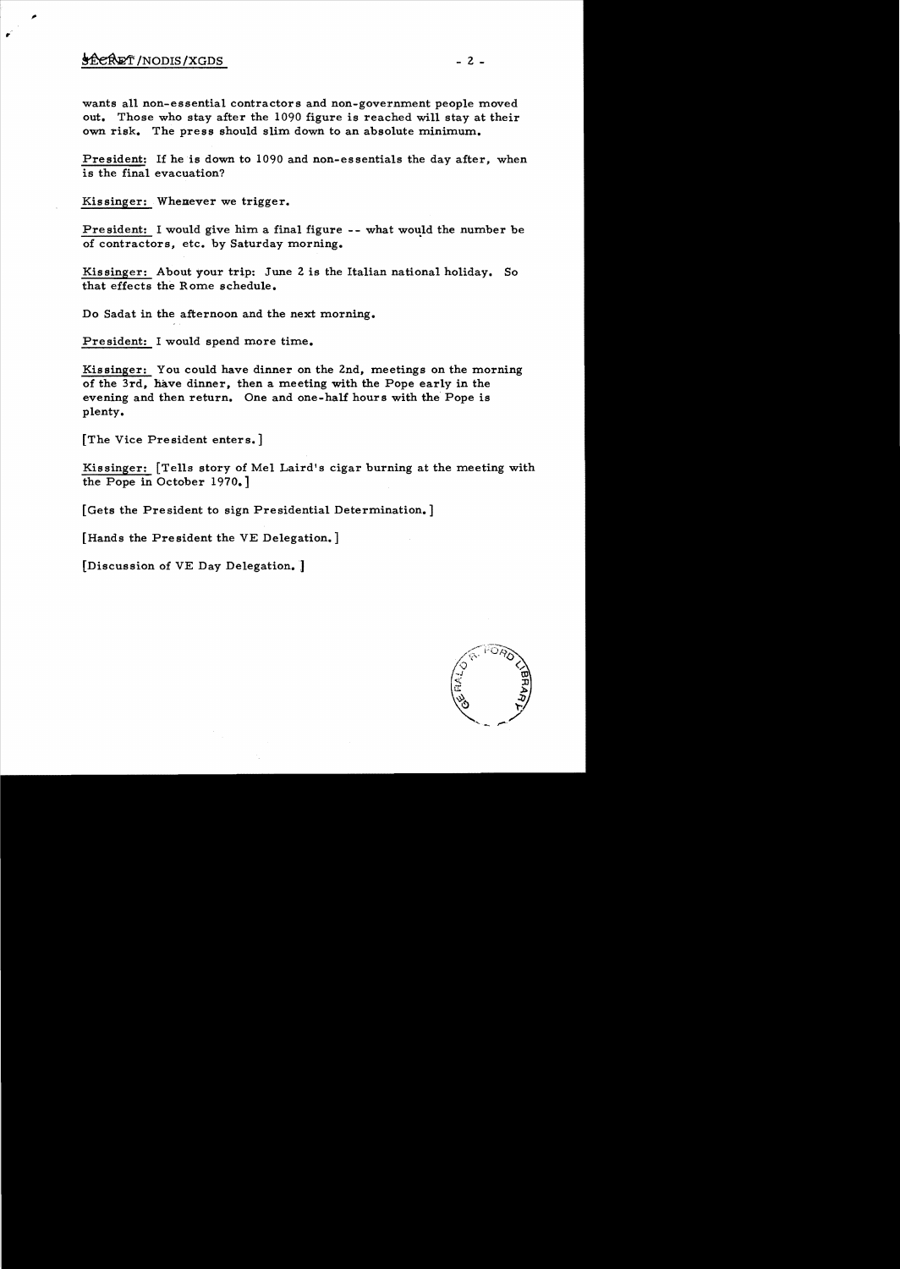## $\frac{1}{2}$   $\frac{1}{2}$   $\frac{1}{2}$   $\frac{1}{2}$   $\frac{1}{2}$   $\frac{1}{2}$   $\frac{1}{2}$   $\frac{1}{2}$   $\frac{1}{2}$   $\frac{1}{2}$   $\frac{1}{2}$   $\frac{1}{2}$   $\frac{1}{2}$   $\frac{1}{2}$   $\frac{1}{2}$   $\frac{1}{2}$   $\frac{1}{2}$   $\frac{1}{2}$   $\frac{1}{2}$   $\frac{1}{2}$   $\frac{1}{2}$   $\frac{1}{2}$

r

wants all non-essential contractors and non-government people moved out. Those who stay after the 1090 figure is reached will stay at their own risk. The press should slim down to an absolute minimum.

President: If he is down to 1090 and non-essentials the day after, when is the final evacuation?

Kissinger: Whenever we trigger.

President: I would give him a final figure -- what would the number be of contractors, etc. by Saturday morning.

Kissinger: About your trip: June 2 is the Italian national holiday. So that effects the Rome schedule.

Do Sadat in the afternoon and the next morning.

President: I would spend more time.

Kissinger: You could have dinner on the 2nd, meetings on the morning of the 3rd, have dinner, then a meeting with the Pope early in the evening and then return. One and one-half hours with the Pope is plenty.

[The Vice President enters.]

Kissinger: [Tells story of Mel Laird's cigar burning at the meeting with the Pope in October 1970.]

[Gets the President to sign Presidential Determination.]

[Hands the President the VE Delegation.]

[Discussion of VE Day Delegation. ]

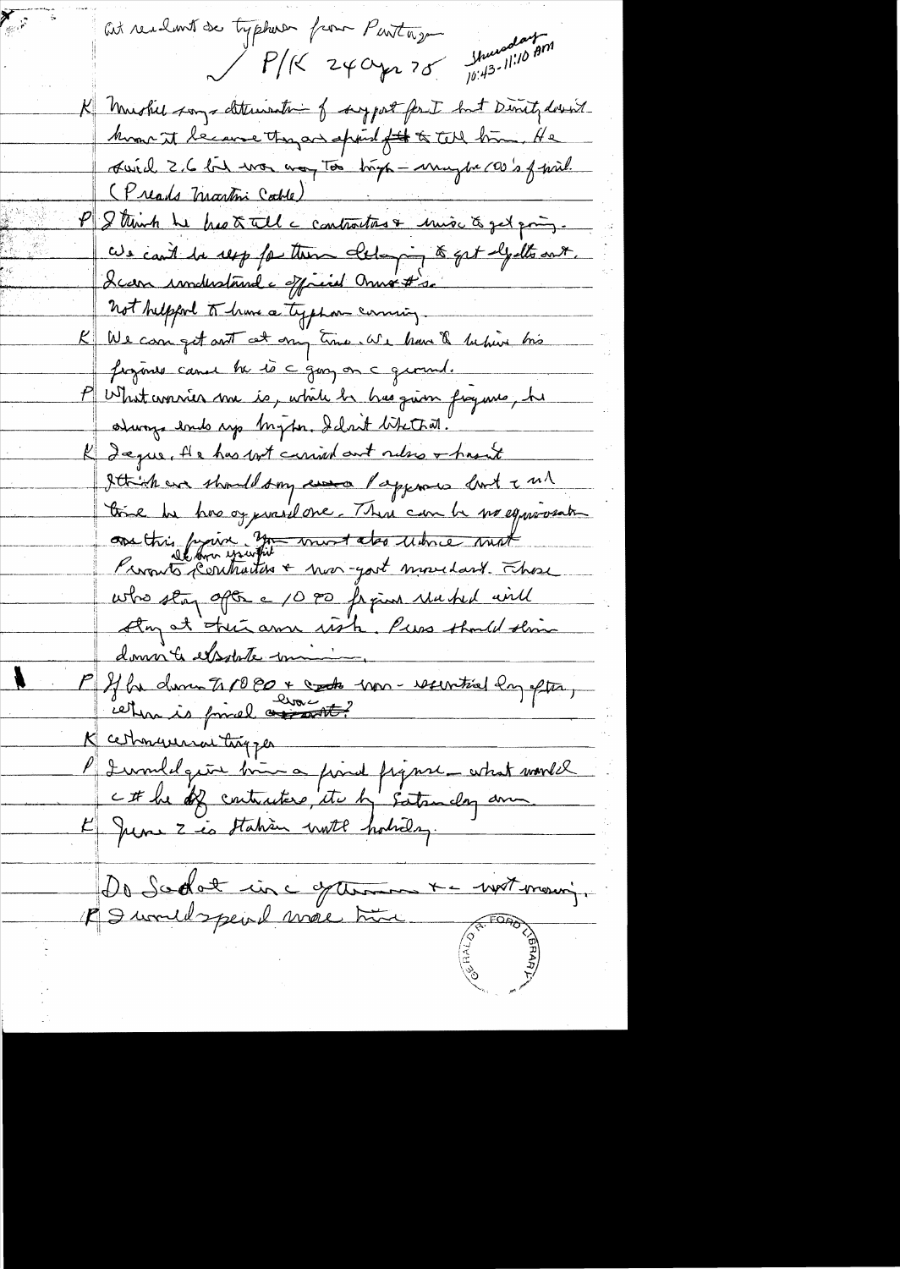at realmit de typherer from Partny  $P/(24042.78$  margareton K mushed songs determination of surport for I but Directed down know it because they are africal fit to tell him. He suich 2,6 bit was any Too high - maybe coop of pril. (Preads Martini Cable) P Strink he has to tell a contractors & mise to get pring. We can't be resp for these eleloying to get elysts out. I can imdistant a official must so not helpford to have a typhon coming. We can get not cet any time. We have & behive his figure cannon be to c guy on a ground. P What wonner me is, while he has given fraguns, he durings ends up Myton. Iclarit like triat. K Legue, He has not carried out releve + host Ittish are should say were Pappares last and time he has ay pravil one. There can be no equivant assittis prairie 200 mort also under mat who stay after a 10 po from red will Any at their am with, Purs thould this domin & exporte commi P If he donne to 10 PD + contra une recentral dag after, K cethnaunnaithigper P I vouldgeur bien a point figure - what would Do Sodot inc y terme + - wit mour;

 $\mathcal{L}_{\mathcal{B}^{\text{reg}}_{\text{c}}}(t)$